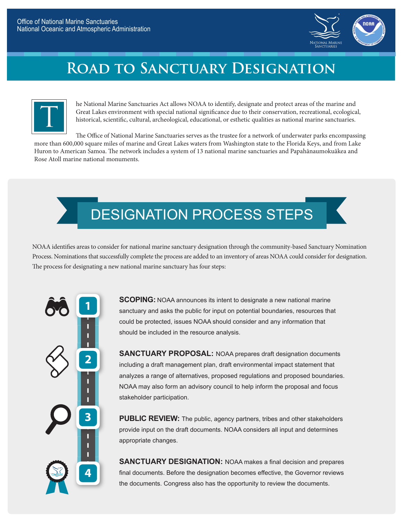

## **Road to Sanctuary Designation**



he National Marine Sanctuaries Act allows NOAA to identify, designate and protect areas of the marine and Great Lakes environment with special national significance due to their conservation, recreational, ecological, historical, scientific, cultural, archeological, educational, or esthetic qualities as national marine sanctuaries.

The Office of National Marine Sanctuaries serves as the trustee for a network of underwater parks encompassing more than 600,000 square miles of marine and Great Lakes waters from Washington state to the Florida Keys, and from Lake Huron to American Samoa. The network includes a system of 13 national marine sanctuaries and Papahānaumokuākea and Rose Atoll marine national monuments.



NOAA identifies areas to consider for national marine sanctuary designation through the community-based Sanctuary Nomination Process. Nominations that successfully complete the process are added to an inventory of areas NOAA could consider for designation. The process for designating a new national marine sanctuary has four steps:



**SCOPING:** NOAA announces its intent to designate a new national marine sanctuary and asks the public for input on potential boundaries, resources that could be protected, issues NOAA should consider and any information that should be included in the resource analysis.

**SANCTUARY PROPOSAL:** NOAA prepares draft designation documents including a draft management plan, draft environmental impact statement that analyzes a range of alternatives, proposed regulations and proposed boundaries. NOAA may also form an advisory council to help inform the proposal and focus stakeholder participation.

**PUBLIC REVIEW:** The public, agency partners, tribes and other stakeholders provide input on the draft documents. NOAA considers all input and determines appropriate changes.

**SANCTUARY DESIGNATION:** NOAA makes a final decision and prepares final documents. Before the designation becomes effective, the Governor reviews the documents. Congress also has the opportunity to review the documents.